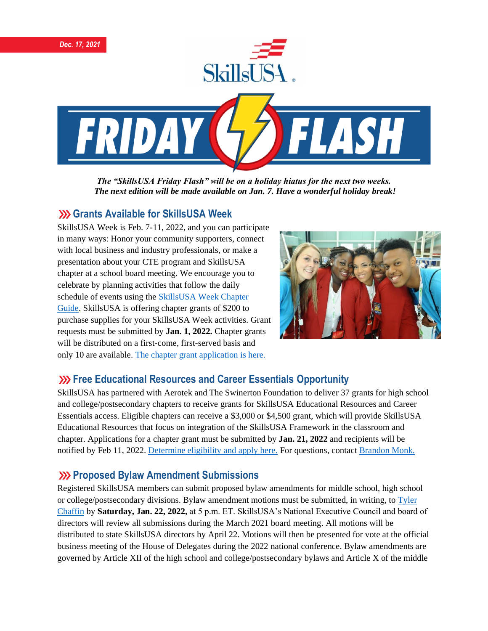

*The "SkillsUSA Friday Flash" will be on a holiday hiatus for the next two weeks. The next edition will be made available on Jan. 7. Have a wonderful holiday break!*

## **Grants Available for SkillsUSA Week**

SkillsUSA Week is Feb. 7-11, 2022, and you can participate in many ways: Honor your community supporters, connect with local business and industry professionals, or make a presentation about your CTE program and SkillsUSA chapter at a school board meeting. We encourage you to celebrate by planning activities that follow the daily schedule of events using the [SkillsUSA Week Chapter](https://www.skillsusa.org/events-training/skillsusa-week/)  [Guide.](https://www.skillsusa.org/events-training/skillsusa-week/) SkillsUSA is offering chapter grants of \$200 to purchase supplies for your SkillsUSA Week activities. Grant requests must be submitted by **Jan. 1, 2022.** Chapter grants will be distributed on a first-come, first-served basis and only 10 are available. [The chapter grant application is here.](https://www.skillsusa.org/events-training/skillsusa-week)



# **Example 23 Free Educational Resources and Career Essentials Opportunity**

SkillsUSA has partnered with Aerotek and The Swinerton Foundation to deliver 37 grants for high school and college/postsecondary chapters to receive grants for SkillsUSA Educational Resources and Career Essentials access. Eligible chapters can receive a \$3,000 or \$4,500 grant, which will provide SkillsUSA Educational Resources that focus on integration of the SkillsUSA Framework in the classroom and chapter. Applications for a chapter grant must be submitted by **Jan. 21, 2022** and recipients will be notified by Feb 11, 2022. [Determine eligibility and apply here.](https://skillsusa.wufoo.com/forms/q1q5yuqh13tjdpk/) For questions, contac[t Brandon Monk.](mailto:bmonk@skillsusa.org)

#### **EXP Proposed Bylaw Amendment Submissions**

Registered SkillsUSA members can submit proposed bylaw amendments for middle school, high school or college/postsecondary divisions. Bylaw amendment motions must be submitted, in writing, to [Tyler](mailto:tchaffin@skillsusa.org)  [Chaffin](mailto:tchaffin@skillsusa.org) by **Saturday, Jan. 22, 2022,** at 5 p.m. ET. SkillsUSA's National Executive Council and board of directors will review all submissions during the March 2021 board meeting. All motions will be distributed to state SkillsUSA directors by April 22. Motions will then be presented for vote at the official business meeting of the House of Delegates during the 2022 national conference. Bylaw amendments are governed by Article XII of the high school and college/postsecondary bylaws and Article X of the middle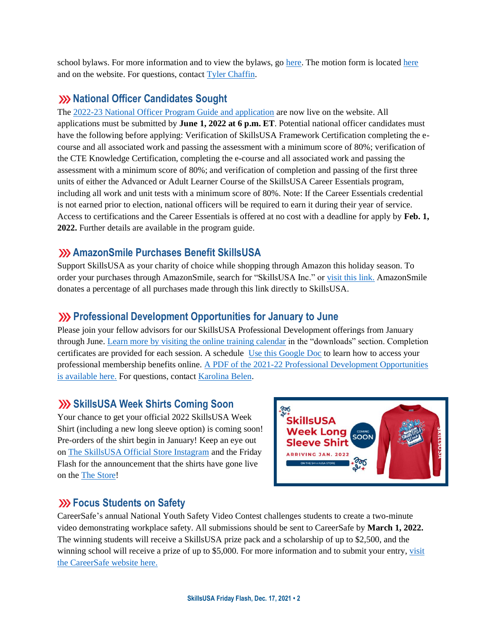school bylaws. For more information and to view the bylaws, go [here.](https://www.skillsusa.org/events-training/national-leadership-and-skills-conference/delegate-sessions/) The motion form is located [here](https://skillsusa.wufoo.com/forms/m1grk6qr1j8vz5i/) and on the website. For questions, contact [Tyler Chaffin.](mailto:tchaffin@skillsusa.org)

# **XX** National Officer Candidates Sought

The [2022-23 National Officer Program Guide and application](https://www.skillsusa.org/membership-resources/students/national-officer-election-process/) are now live on the website. All applications must be submitted by **June 1, 2022 at 6 p.m. ET**. Potential national officer candidates must have the following before applying: Verification of SkillsUSA Framework Certification completing the ecourse and all associated work and passing the assessment with a minimum score of 80%; verification of the CTE Knowledge Certification, completing the e-course and all associated work and passing the assessment with a minimum score of 80%; and verification of completion and passing of the first three units of either the Advanced or Adult Learner Course of the SkillsUSA Career Essentials program, including all work and unit tests with a minimum score of 80%. Note: If the Career Essentials credential is not earned prior to election, national officers will be required to earn it during their year of service. Access to certifications and the Career Essentials is offered at no cost with a deadline for apply by **Feb. 1, 2022.** Further details are available in the program guide.

## **AmazonSmile Purchases Benefit SkillsUSA**

Support SkillsUSA as your charity of choice while shopping through Amazon this holiday season. To order your purchases through AmazonSmile, search for "SkillsUSA Inc." or [visit this link.](https://smile.amazon.com/?_encoding=UTF8&_encoding=UTF8&ref_=smi_chpf_redirect) AmazonSmile donates a percentage of all purchases made through this link directly to SkillsUSA.

#### **Professional Development Opportunities for January to June**

Please join your fellow advisors for our SkillsUSA Professional Development offerings from January through June[. Learn more by visiting the online training calendar](https://www.skillsusa.org/events-training/skillsusa-training-calendar-for-educators/) in the "downloads" section. Completion certificates are provided for each session. A schedule [Use this Google Doc](https://docs.google.com/document/d/1d2EvwsmdelNzm-WK7pTGSokJTbWZXcFDOODai32SGzk/edit) to learn how to access your professional membership benefits online. [A PDF of the 2021-22 Professional Development Opportunities](https://www.skillsusa.org/wp-content/uploads/2021/09/SkillsUSA-2021-Professional-Development-Opportunities-v9.pdf)  [is available here.](https://www.skillsusa.org/wp-content/uploads/2021/09/SkillsUSA-2021-Professional-Development-Opportunities-v9.pdf) For questions, contac[t Karolina Belen.](mailto:kbelen@skillsusa.org)

# **SkillsUSA Week Shirts Coming Soon**

Your chance to get your official 2022 SkillsUSA Week Shirt (including a new long sleeve option) is coming soon! Pre-orders of the shirt begin in January! Keep an eye out on [The SkillsUSA Official Store Instagram](https://www.instagram.com/skillsusastore/?hl=en) and the Friday Flash for the announcement that the shirts have gone live on the [The Store!](https://skillsusastore.mybrightsites.com/)



# **XXX** Focus Students on Safety

CareerSafe's annual National Youth Safety Video Contest challenges students to create a two-minute video demonstrating workplace safety. All submissions should be sent to CareerSafe by **March 1, 2022.** The winning students will receive a SkillsUSA prize pack and a scholarship of up to \$2,500, and the winning school will receive a prize of up to \$5,000. For more information and to submit your entry[, visit](https://www.careersafeonline.com/scholarships/video-contest)  [the CareerSafe website here.](https://www.careersafeonline.com/scholarships/video-contest)